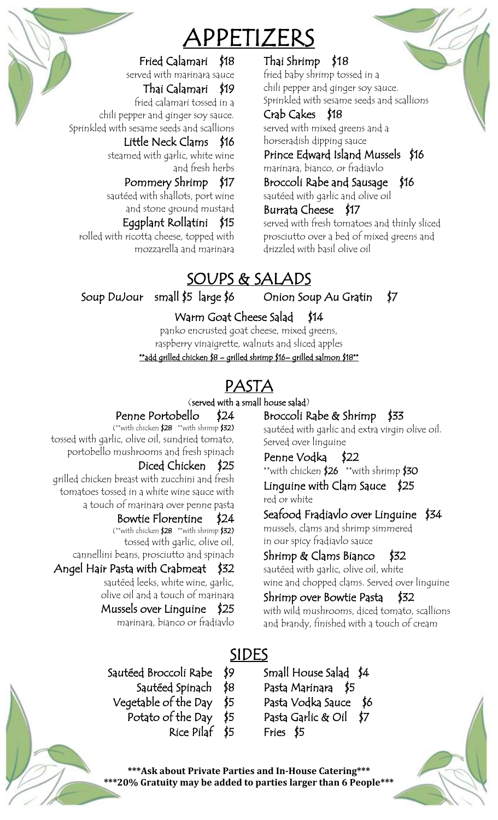## APPETIZERS

### Fried Calamari \$18

served with marinara sauce Thai Calamari \$19 fried calamari tossed in a

chili pepper and ginger soy sauce. Sprinkled with sesame seeds and scallions

### Little Neck Clams \$16

steamed with garlic, white wine and fresh herbs

### Pommery Shrimp \$17

sautéed with shallots, port wine and stone ground mustard

### Eggplant Rollatini \$15

rolled with ricotta cheese, topped with mozzarella and marinara

### Thai Shrimp \$18

fried baby shrimp tossed in a chili pepper and ginger soy sauce. Sprinkled with sesame seeds and scallions

### Crab Cakes \$18

served with mixed greens and a horseradish dipping sauce

Prince Edward Island Mussels \$16 marinara, bianco, or fradiavlo

Broccoli Rabe and Sausage \$16

sautéed with garlic and olive oil

### Burrata Cheese \$17

served with fresh tomatoes and thinly sliced prosciutto over a bed of mixed greens and drizzled with basil olive oil

## SOUPS & SALADS

Soup DuJour small \$5 large \$6

### Onion Soup Au Gratin \$7

### Warm Goat Cheese Salad \$14

panko encrusted goat cheese, mixed greens, raspberry vinaigrette, walnuts and sliced apples

\*\*add grilled chicken \$8 – grilled shrimp \$16– grilled salmon \$18\*\*

## PASTA

### (served with a small house salad)

### Penne Portobello \$24

(\*\*with chicken \$28 \*\*with shrimp \$32) tossed with garlic, olive oil, sundried tomato, portobello mushrooms and fresh spinach

### Diced Chicken \$25

grilled chicken breast with zucchini and fresh tomatoes tossed in a white wine sauce with a touch of marinara over penne pasta

### Bowtie Florentine \$24

(\*\*with chicken \$28 \*\*with shrimp \$32) tossed with garlic, olive oil, cannellini beans, prosciutto and spinach

### Angel Hair Pasta with Crabmeat \$32

sautéed leeks, white wine, garlic, olive oil and a touch of marinara

### Mussels over Linguine \$25

marinara, bianco or fradiavlo

Broccoli Rabe & Shrimp \$33

sautéed with garlic and extra virgin olive oil. Served over linguine

### Penne Vodka \$22

\*\*with chicken \$26 \*\*with shrimp \$30 Linguine with Clam Sauce \$25

red or white

### Seafood Fradiavlo over Linguine \$34

mussels, clams and shrimp simmered in our spicy fradiavlo sauce

### Shrimp & Clams Bianco \$32

sautéed with garlic, olive oil, white wine and chopped clams. Served over linguine

### Shrimp over Bowtie Pasta \$32 with wild mushrooms, diced tomato, scallions

and brandy, finished with a touch of cream

### SIDES

- Sautéed Broccoli Rabe \$9
	- Sautéed Spinach \$8
	- Vegetable of the Day \$5
		- Potato of the Day \$5
			-

Small House Salad \$4 Pasta Marinara \$5 Pasta Vodka Sauce \$6 Pasta Garlic & Oil \$7 Fries \$5



**\*\*\*Ask about Private Parties and In-House Catering\*\*\* \*\*\*20% Gratuity may be added to parties larger than 6 People\*\*\***

## Rice Pilaf \$5